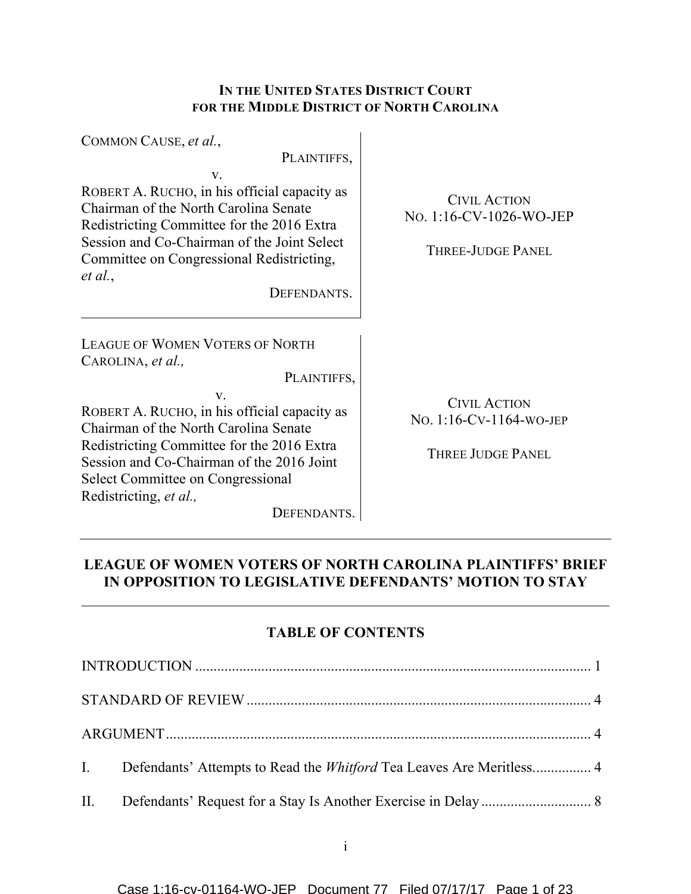# **IN THE UNITED STATES DISTRICT COURT FOR THE MIDDLE DISTRICT OF NORTH CAROLINA**

| COMMON CAUSE, et al.,                                                                                                                                                                                                                                                                                                                                              |                                                                            |
|--------------------------------------------------------------------------------------------------------------------------------------------------------------------------------------------------------------------------------------------------------------------------------------------------------------------------------------------------------------------|----------------------------------------------------------------------------|
| PLAINTIFFS,<br>V.<br>ROBERT A. RUCHO, in his official capacity as<br>Chairman of the North Carolina Senate<br>Redistricting Committee for the 2016 Extra<br>Session and Co-Chairman of the Joint Select<br>Committee on Congressional Redistricting,<br>et al.,<br>DEFENDANTS.                                                                                     | <b>CIVIL ACTION</b><br>No. 1:16-CV-1026-WO-JEP<br><b>THREE-JUDGE PANEL</b> |
| <b>LEAGUE OF WOMEN VOTERS OF NORTH</b><br>CAROLINA, et al.,<br>PLAINTIFFS,<br>$V_{\cdot}$<br>ROBERT A. RUCHO, in his official capacity as<br>Chairman of the North Carolina Senate<br>Redistricting Committee for the 2016 Extra<br>Session and Co-Chairman of the 2016 Joint<br><b>Select Committee on Congressional</b><br>Redistricting, et al.,<br>DEFENDANTS. | <b>CIVIL ACTION</b><br>No. 1:16-CV-1164-WO-JEP<br><b>THREE JUDGE PANEL</b> |

# **LEAGUE OF WOMEN VOTERS OF NORTH CAROLINA PLAINTIFFS' BRIEF IN OPPOSITION TO LEGISLATIVE DEFENDANTS' MOTION TO STAY**

# **TABLE OF CONTENTS**

| I. Defendants' Attempts to Read the <i>Whitford</i> Tea Leaves Are Meritless 4 |  |
|--------------------------------------------------------------------------------|--|
|                                                                                |  |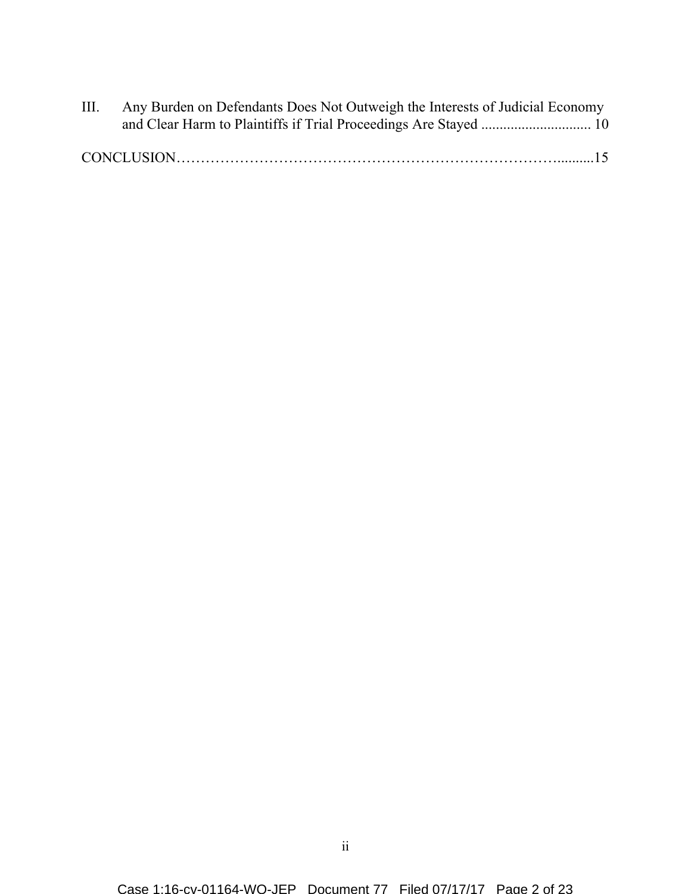| III. | Any Burden on Defendants Does Not Outweigh the Interests of Judicial Economy |  |
|------|------------------------------------------------------------------------------|--|
|      |                                                                              |  |
|      |                                                                              |  |
|      |                                                                              |  |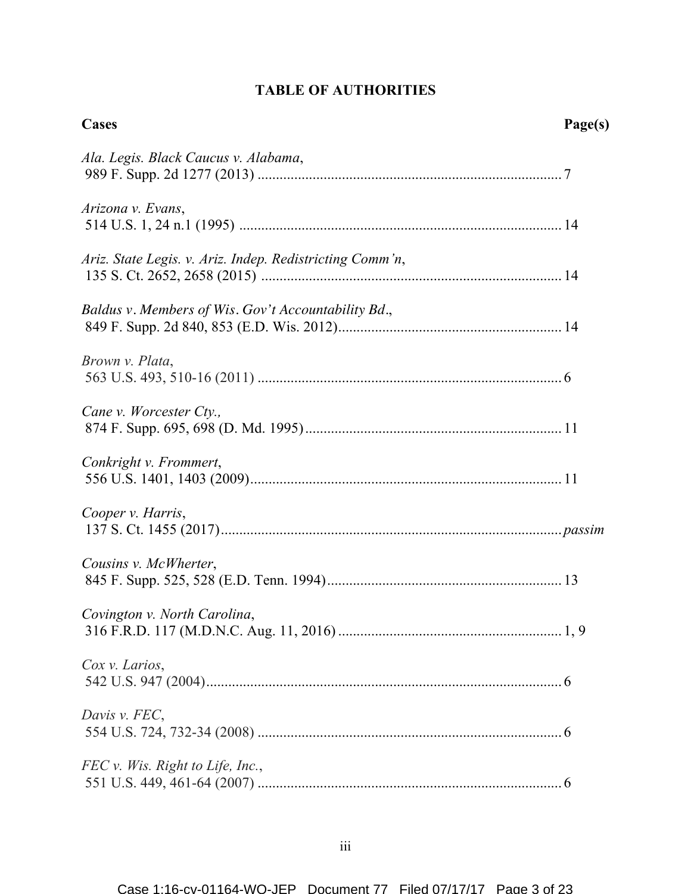# **TABLE OF AUTHORITIES**

| <b>Cases</b>                                             | Page(s) |
|----------------------------------------------------------|---------|
| Ala. Legis. Black Caucus v. Alabama,                     |         |
| Arizona v. Evans,                                        |         |
| Ariz. State Legis. v. Ariz. Indep. Redistricting Comm'n, |         |
| Baldus v. Members of Wis. Gov't Accountability Bd.,      |         |
| Brown v. Plata,                                          |         |
| Cane v. Worcester Cty.,                                  |         |
| Conkright v. Frommert,                                   |         |
| Cooper v. Harris,                                        |         |
| Cousins v. McWherter,                                    |         |
| Covington v. North Carolina,                             |         |
| Cox v. Larios,                                           |         |
| Davis v. FEC,                                            |         |
| FEC v. Wis. Right to Life, Inc.,                         |         |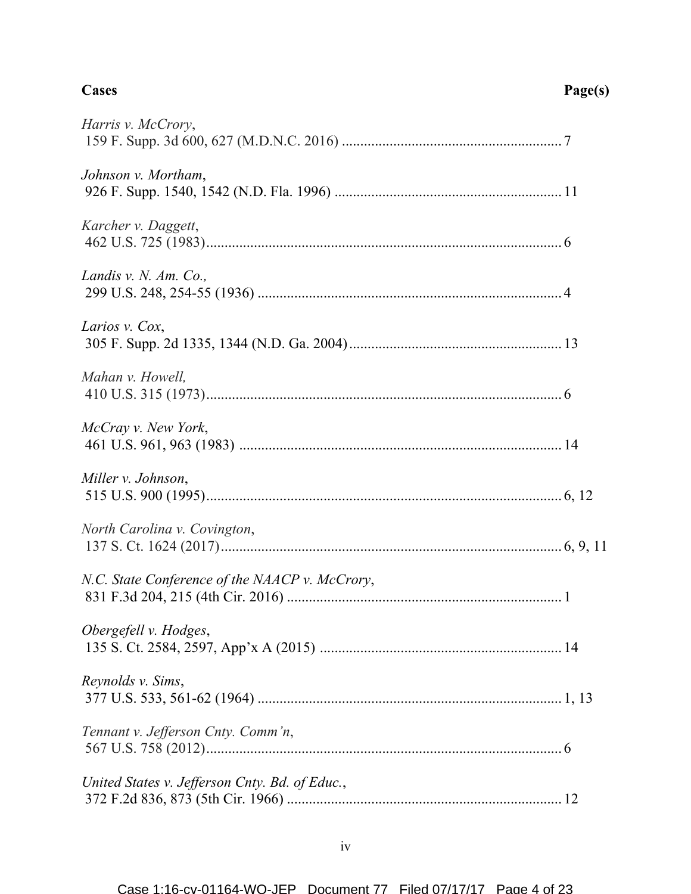| Harris v. McCrory,                             |  |
|------------------------------------------------|--|
| Johnson v. Mortham,                            |  |
| Karcher v. Daggett,                            |  |
| Landis v. N. Am. Co.,                          |  |
| Larios v. Cox,                                 |  |
| Mahan v. Howell,                               |  |
| McCray v. New York,                            |  |
| Miller v. Johnson,                             |  |
| North Carolina v. Covington,                   |  |
| N.C. State Conference of the NAACP v. McCrory, |  |
| Obergefell v. Hodges,                          |  |
| Reynolds v. Sims,                              |  |
| Tennant v. Jefferson Cnty. Comm'n,             |  |
| United States v. Jefferson Cnty. Bd. of Educ., |  |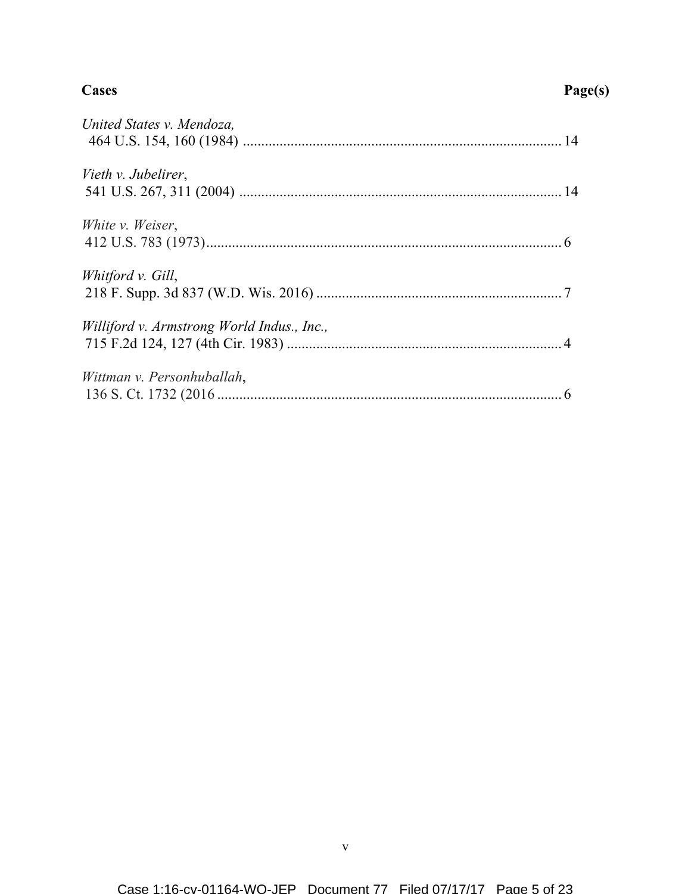### **Cases Page(s)**

| United States v. Mendoza,                  |  |
|--------------------------------------------|--|
| Vieth v. Jubelirer,                        |  |
| White <i>v.</i> Weiser,                    |  |
| Whitford v. Gill,                          |  |
| Williford v. Armstrong World Indus., Inc., |  |
| Wittman v. Personhuballah,                 |  |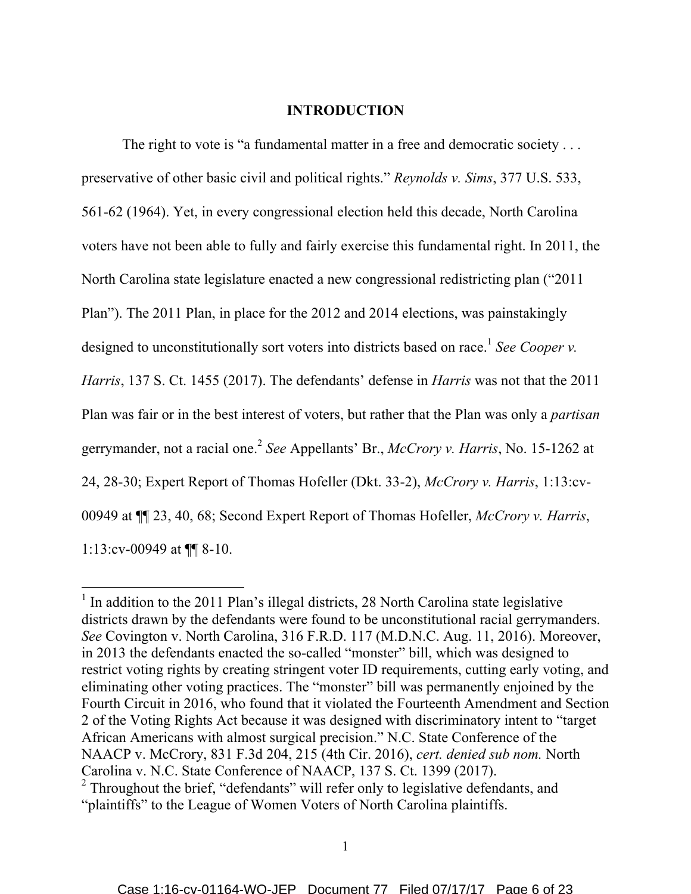#### **INTRODUCTION**

The right to vote is "a fundamental matter in a free and democratic society . . . preservative of other basic civil and political rights." *Reynolds v. Sims*, 377 U.S. 533, 561-62 (1964). Yet, in every congressional election held this decade, North Carolina voters have not been able to fully and fairly exercise this fundamental right. In 2011, the North Carolina state legislature enacted a new congressional redistricting plan ("2011 Plan"). The 2011 Plan, in place for the 2012 and 2014 elections, was painstakingly designed to unconstitutionally sort voters into districts based on race.<sup>1</sup> See Cooper v. *Harris*, 137 S. Ct. 1455 (2017). The defendants' defense in *Harris* was not that the 2011 Plan was fair or in the best interest of voters, but rather that the Plan was only a *partisan*  gerrymander, not a racial one. <sup>2</sup> *See* Appellants' Br., *McCrory v. Harris*, No. 15-1262 at 24, 28-30; Expert Report of Thomas Hofeller (Dkt. 33-2), *McCrory v. Harris*, 1:13:cv-00949 at ¶¶ 23, 40, 68; Second Expert Report of Thomas Hofeller, *McCrory v. Harris*, 1:13:cv-00949 at ¶¶ 8-10.

 $1$  In addition to the 2011 Plan's illegal districts, 28 North Carolina state legislative districts drawn by the defendants were found to be unconstitutional racial gerrymanders. *See* Covington v. North Carolina, 316 F.R.D. 117 (M.D.N.C. Aug. 11, 2016). Moreover, in 2013 the defendants enacted the so-called "monster" bill, which was designed to restrict voting rights by creating stringent voter ID requirements, cutting early voting, and eliminating other voting practices. The "monster" bill was permanently enjoined by the Fourth Circuit in 2016, who found that it violated the Fourteenth Amendment and Section 2 of the Voting Rights Act because it was designed with discriminatory intent to "target African Americans with almost surgical precision." N.C. State Conference of the NAACP v. McCrory, 831 F.3d 204, 215 (4th Cir. 2016), *cert. denied sub nom.* North Carolina v. N.C. State Conference of NAACP, 137 S. Ct. 1399 (2017).<br><sup>2</sup> Throughout the brief, "defendants" will refer only to legislative defendants, and

<sup>&</sup>quot;plaintiffs" to the League of Women Voters of North Carolina plaintiffs.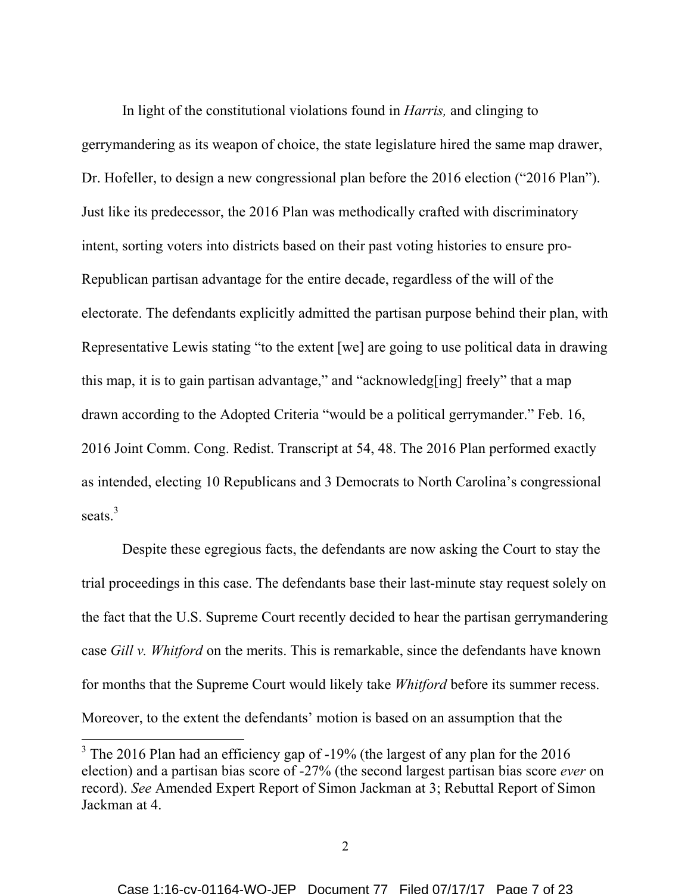In light of the constitutional violations found in *Harris,* and clinging to gerrymandering as its weapon of choice, the state legislature hired the same map drawer, Dr. Hofeller, to design a new congressional plan before the 2016 election ("2016 Plan"). Just like its predecessor, the 2016 Plan was methodically crafted with discriminatory intent, sorting voters into districts based on their past voting histories to ensure pro-Republican partisan advantage for the entire decade, regardless of the will of the electorate. The defendants explicitly admitted the partisan purpose behind their plan, with Representative Lewis stating "to the extent [we] are going to use political data in drawing this map, it is to gain partisan advantage," and "acknowledg[ing] freely" that a map drawn according to the Adopted Criteria "would be a political gerrymander." Feb. 16, 2016 Joint Comm. Cong. Redist. Transcript at 54, 48. The 2016 Plan performed exactly as intended, electing 10 Republicans and 3 Democrats to North Carolina's congressional seats.<sup>3</sup>

Despite these egregious facts, the defendants are now asking the Court to stay the trial proceedings in this case. The defendants base their last-minute stay request solely on the fact that the U.S. Supreme Court recently decided to hear the partisan gerrymandering case *Gill v. Whitford* on the merits. This is remarkable, since the defendants have known for months that the Supreme Court would likely take *Whitford* before its summer recess. Moreover, to the extent the defendants' motion is based on an assumption that the

<sup>&</sup>lt;sup>3</sup> The 2016 Plan had an efficiency gap of -19% (the largest of any plan for the 2016 election) and a partisan bias score of -27% (the second largest partisan bias score *ever* on record). *See* Amended Expert Report of Simon Jackman at 3; Rebuttal Report of Simon Jackman at 4.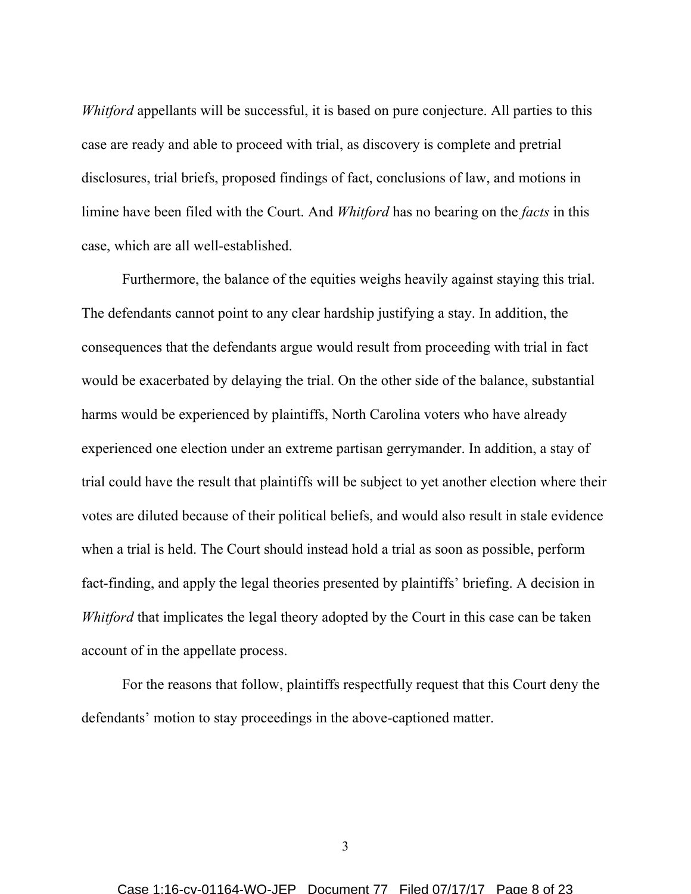*Whitford* appellants will be successful, it is based on pure conjecture. All parties to this case are ready and able to proceed with trial, as discovery is complete and pretrial disclosures, trial briefs, proposed findings of fact, conclusions of law, and motions in limine have been filed with the Court. And *Whitford* has no bearing on the *facts* in this case, which are all well-established.

Furthermore, the balance of the equities weighs heavily against staying this trial. The defendants cannot point to any clear hardship justifying a stay. In addition, the consequences that the defendants argue would result from proceeding with trial in fact would be exacerbated by delaying the trial. On the other side of the balance, substantial harms would be experienced by plaintiffs, North Carolina voters who have already experienced one election under an extreme partisan gerrymander. In addition, a stay of trial could have the result that plaintiffs will be subject to yet another election where their votes are diluted because of their political beliefs, and would also result in stale evidence when a trial is held. The Court should instead hold a trial as soon as possible, perform fact-finding, and apply the legal theories presented by plaintiffs' briefing. A decision in *Whitford* that implicates the legal theory adopted by the Court in this case can be taken account of in the appellate process.

For the reasons that follow, plaintiffs respectfully request that this Court deny the defendants' motion to stay proceedings in the above-captioned matter.

3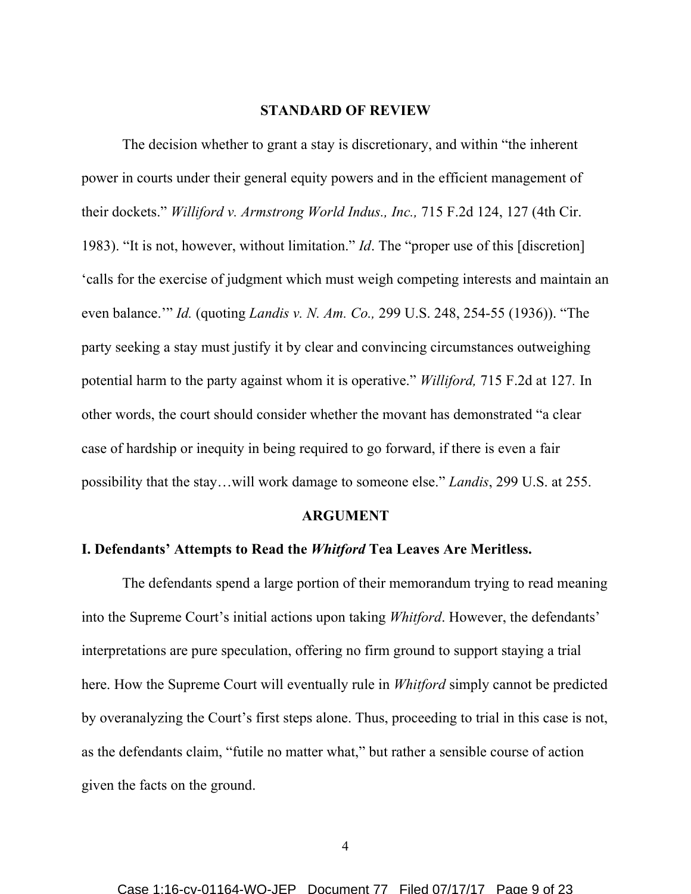#### **STANDARD OF REVIEW**

The decision whether to grant a stay is discretionary, and within "the inherent power in courts under their general equity powers and in the efficient management of their dockets." *Williford v. Armstrong World Indus., Inc.,* 715 F.2d 124, 127 (4th Cir. 1983). "It is not, however, without limitation." *Id*. The "proper use of this [discretion] 'calls for the exercise of judgment which must weigh competing interests and maintain an even balance.'" *Id.* (quoting *Landis v. N. Am. Co.,* 299 U.S. 248, 254-55 (1936)). "The party seeking a stay must justify it by clear and convincing circumstances outweighing potential harm to the party against whom it is operative." *Williford,* 715 F.2d at 127*.* In other words, the court should consider whether the movant has demonstrated "a clear case of hardship or inequity in being required to go forward, if there is even a fair possibility that the stay…will work damage to someone else." *Landis*, 299 U.S. at 255.

#### **ARGUMENT**

### **I. Defendants' Attempts to Read the** *Whitford* **Tea Leaves Are Meritless.**

The defendants spend a large portion of their memorandum trying to read meaning into the Supreme Court's initial actions upon taking *Whitford*. However, the defendants' interpretations are pure speculation, offering no firm ground to support staying a trial here. How the Supreme Court will eventually rule in *Whitford* simply cannot be predicted by overanalyzing the Court's first steps alone. Thus, proceeding to trial in this case is not, as the defendants claim, "futile no matter what," but rather a sensible course of action given the facts on the ground.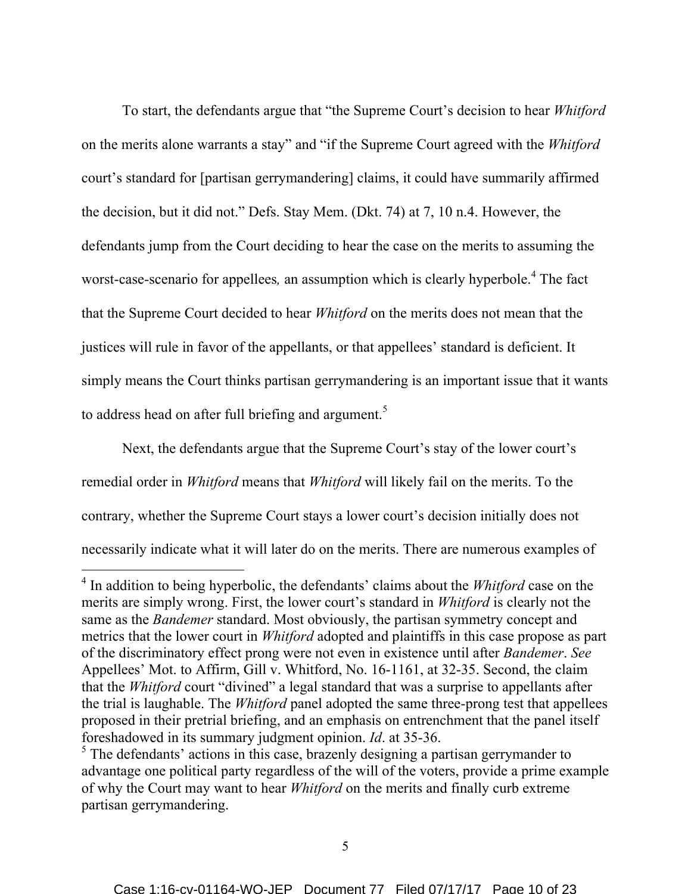To start, the defendants argue that "the Supreme Court's decision to hear *Whitford* on the merits alone warrants a stay" and "if the Supreme Court agreed with the *Whitford* court's standard for [partisan gerrymandering] claims, it could have summarily affirmed the decision, but it did not." Defs. Stay Mem. (Dkt. 74) at 7, 10 n.4. However, the defendants jump from the Court deciding to hear the case on the merits to assuming the worst-case-scenario for appellees*,* an assumption which is clearly hyperbole. <sup>4</sup> The fact that the Supreme Court decided to hear *Whitford* on the merits does not mean that the justices will rule in favor of the appellants, or that appellees' standard is deficient. It simply means the Court thinks partisan gerrymandering is an important issue that it wants to address head on after full briefing and argument.<sup>5</sup>

Next, the defendants argue that the Supreme Court's stay of the lower court's remedial order in *Whitford* means that *Whitford* will likely fail on the merits. To the contrary, whether the Supreme Court stays a lower court's decision initially does not necessarily indicate what it will later do on the merits. There are numerous examples of

 <sup>4</sup> In addition to being hyperbolic, the defendants' claims about the *Whitford* case on the merits are simply wrong. First, the lower court's standard in *Whitford* is clearly not the same as the *Bandemer* standard. Most obviously, the partisan symmetry concept and metrics that the lower court in *Whitford* adopted and plaintiffs in this case propose as part of the discriminatory effect prong were not even in existence until after *Bandemer*. *See*  Appellees' Mot. to Affirm, Gill v. Whitford, No. 16-1161, at 32-35. Second, the claim that the *Whitford* court "divined" a legal standard that was a surprise to appellants after the trial is laughable. The *Whitford* panel adopted the same three-prong test that appellees proposed in their pretrial briefing, and an emphasis on entrenchment that the panel itself foreshadowed in its summary judgment opinion. *Id*. at 35-36.

<sup>&</sup>lt;sup>5</sup> The defendants' actions in this case, brazenly designing a partisan gerrymander to advantage one political party regardless of the will of the voters, provide a prime example of why the Court may want to hear *Whitford* on the merits and finally curb extreme partisan gerrymandering.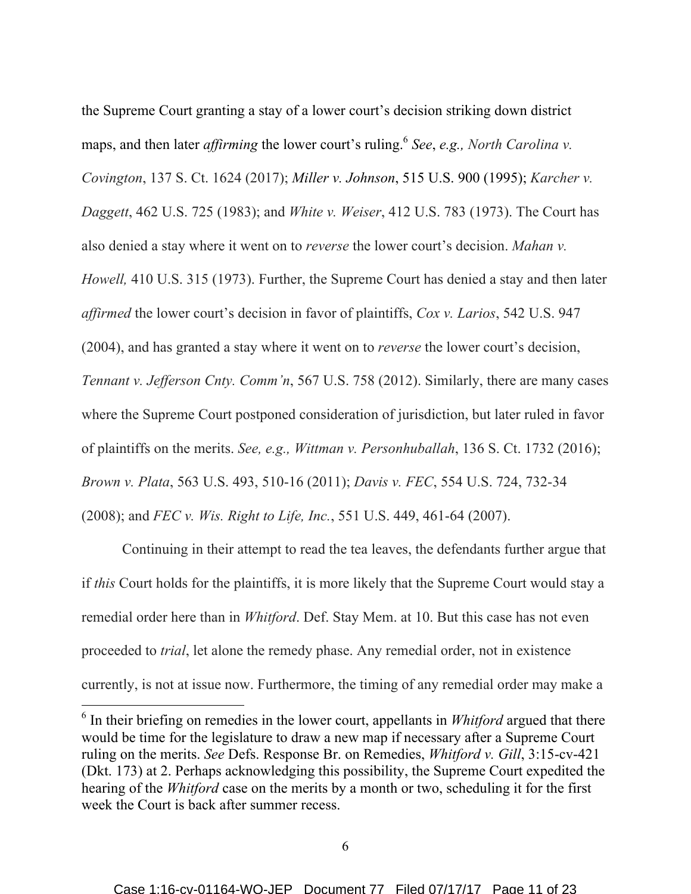the Supreme Court granting a stay of a lower court's decision striking down district maps, and then later *affirming* the lower court's ruling.<sup>6</sup> *See*, *e.g., North Carolina v. Covington*, 137 S. Ct. 1624 (2017); *Miller v. Johnson*, 515 U.S. 900 (1995); *Karcher v. Daggett*, 462 U.S. 725 (1983); and *White v. Weiser*, 412 U.S. 783 (1973). The Court has also denied a stay where it went on to *reverse* the lower court's decision. *Mahan v. Howell,* 410 U.S. 315 (1973). Further, the Supreme Court has denied a stay and then later *affirmed* the lower court's decision in favor of plaintiffs, *Cox v. Larios*, 542 U.S. 947 (2004), and has granted a stay where it went on to *reverse* the lower court's decision, *Tennant v. Jefferson Cnty. Comm'n*, 567 U.S. 758 (2012). Similarly, there are many cases where the Supreme Court postponed consideration of jurisdiction, but later ruled in favor of plaintiffs on the merits. *See, e.g., Wittman v. Personhuballah*, 136 S. Ct. 1732 (2016); *Brown v. Plata*, 563 U.S. 493, 510-16 (2011); *Davis v. FEC*, 554 U.S. 724, 732-34 (2008); and *FEC v. Wis. Right to Life, Inc.*, 551 U.S. 449, 461-64 (2007).

Continuing in their attempt to read the tea leaves, the defendants further argue that if *this* Court holds for the plaintiffs, it is more likely that the Supreme Court would stay a remedial order here than in *Whitford*. Def. Stay Mem. at 10. But this case has not even proceeded to *trial*, let alone the remedy phase. Any remedial order, not in existence currently, is not at issue now. Furthermore, the timing of any remedial order may make a

 <sup>6</sup> In their briefing on remedies in the lower court, appellants in *Whitford* argued that there would be time for the legislature to draw a new map if necessary after a Supreme Court ruling on the merits. *See* Defs. Response Br. on Remedies, *Whitford v. Gill*, 3:15-cv-421 (Dkt. 173) at 2. Perhaps acknowledging this possibility, the Supreme Court expedited the hearing of the *Whitford* case on the merits by a month or two, scheduling it for the first week the Court is back after summer recess.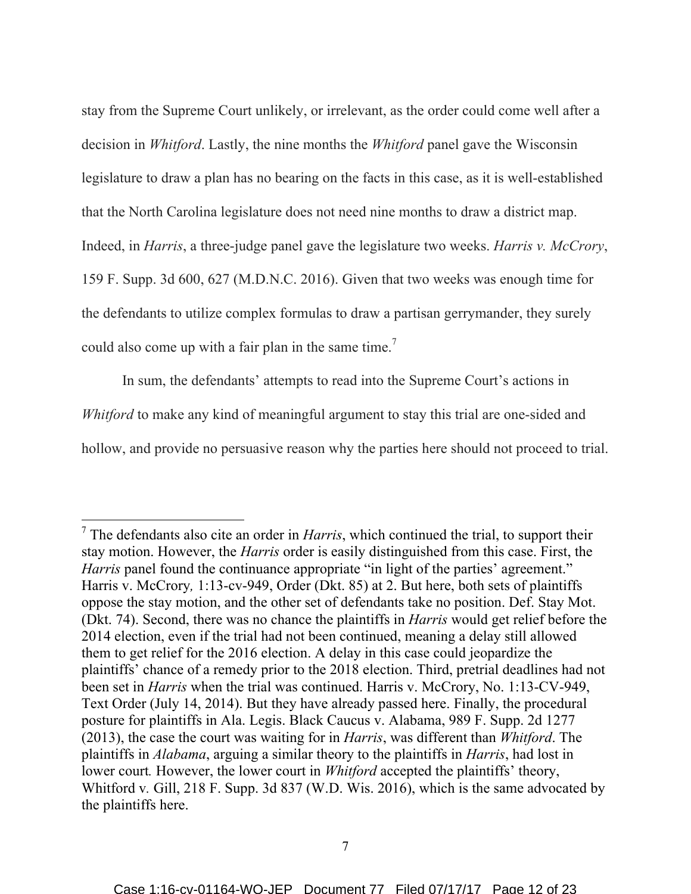stay from the Supreme Court unlikely, or irrelevant, as the order could come well after a decision in *Whitford*. Lastly, the nine months the *Whitford* panel gave the Wisconsin legislature to draw a plan has no bearing on the facts in this case, as it is well-established that the North Carolina legislature does not need nine months to draw a district map. Indeed, in *Harris*, a three-judge panel gave the legislature two weeks. *Harris v. McCrory*, 159 F. Supp. 3d 600, 627 (M.D.N.C. 2016). Given that two weeks was enough time for the defendants to utilize complex formulas to draw a partisan gerrymander, they surely could also come up with a fair plan in the same time.<sup>7</sup>

In sum, the defendants' attempts to read into the Supreme Court's actions in *Whitford* to make any kind of meaningful argument to stay this trial are one-sided and hollow, and provide no persuasive reason why the parties here should not proceed to trial.

 <sup>7</sup> The defendants also cite an order in *Harris*, which continued the trial, to support their stay motion. However, the *Harris* order is easily distinguished from this case. First, the *Harris* panel found the continuance appropriate "in light of the parties' agreement." Harris v. McCrory*,* 1:13-cv-949, Order (Dkt. 85) at 2. But here, both sets of plaintiffs oppose the stay motion, and the other set of defendants take no position. Def. Stay Mot. (Dkt. 74). Second, there was no chance the plaintiffs in *Harris* would get relief before the 2014 election, even if the trial had not been continued, meaning a delay still allowed them to get relief for the 2016 election. A delay in this case could jeopardize the plaintiffs' chance of a remedy prior to the 2018 election. Third, pretrial deadlines had not been set in *Harris* when the trial was continued. Harris v. McCrory, No. 1:13-CV-949, Text Order (July 14, 2014). But they have already passed here. Finally, the procedural posture for plaintiffs in Ala. Legis. Black Caucus v. Alabama, 989 F. Supp. 2d 1277 (2013), the case the court was waiting for in *Harris*, was different than *Whitford*. The plaintiffs in *Alabama*, arguing a similar theory to the plaintiffs in *Harris*, had lost in lower court. However, the lower court in *Whitford* accepted the plaintiffs' theory, Whitford v. Gill, 218 F. Supp. 3d 837 (W.D. Wis. 2016), which is the same advocated by the plaintiffs here.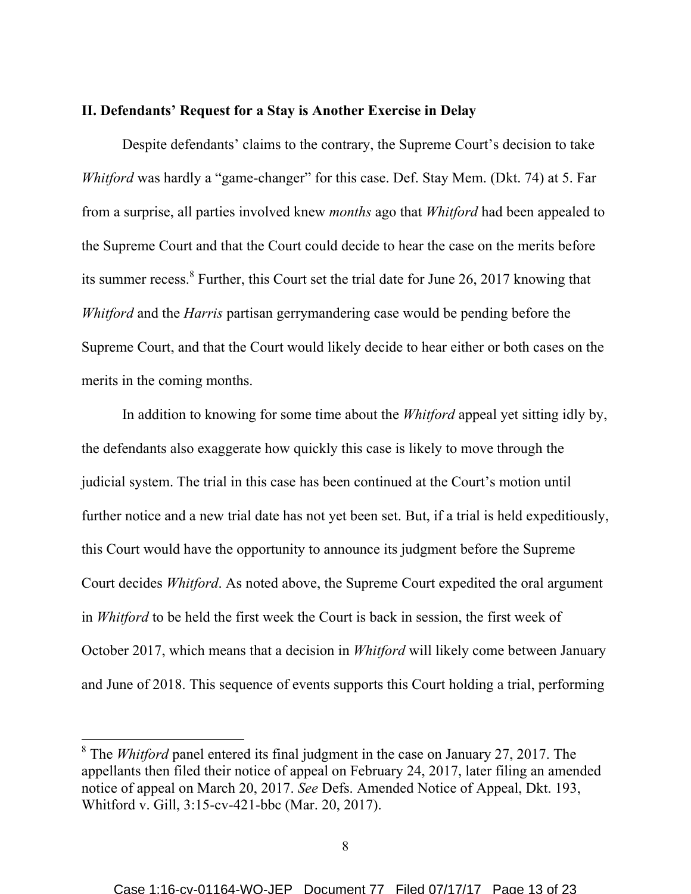#### **II. Defendants' Request for a Stay is Another Exercise in Delay**

Despite defendants' claims to the contrary, the Supreme Court's decision to take *Whitford* was hardly a "game-changer" for this case. Def. Stay Mem. (Dkt. 74) at 5. Far from a surprise, all parties involved knew *months* ago that *Whitford* had been appealed to the Supreme Court and that the Court could decide to hear the case on the merits before its summer recess.<sup>8</sup> Further, this Court set the trial date for June 26, 2017 knowing that *Whitford* and the *Harris* partisan gerrymandering case would be pending before the Supreme Court, and that the Court would likely decide to hear either or both cases on the merits in the coming months.

In addition to knowing for some time about the *Whitford* appeal yet sitting idly by, the defendants also exaggerate how quickly this case is likely to move through the judicial system. The trial in this case has been continued at the Court's motion until further notice and a new trial date has not yet been set. But, if a trial is held expeditiously, this Court would have the opportunity to announce its judgment before the Supreme Court decides *Whitford*. As noted above, the Supreme Court expedited the oral argument in *Whitford* to be held the first week the Court is back in session, the first week of October 2017, which means that a decision in *Whitford* will likely come between January and June of 2018. This sequence of events supports this Court holding a trial, performing

 <sup>8</sup> The *Whitford* panel entered its final judgment in the case on January 27, 2017. The appellants then filed their notice of appeal on February 24, 2017, later filing an amended notice of appeal on March 20, 2017. *See* Defs. Amended Notice of Appeal, Dkt. 193, Whitford v. Gill, 3:15-cv-421-bbc (Mar. 20, 2017).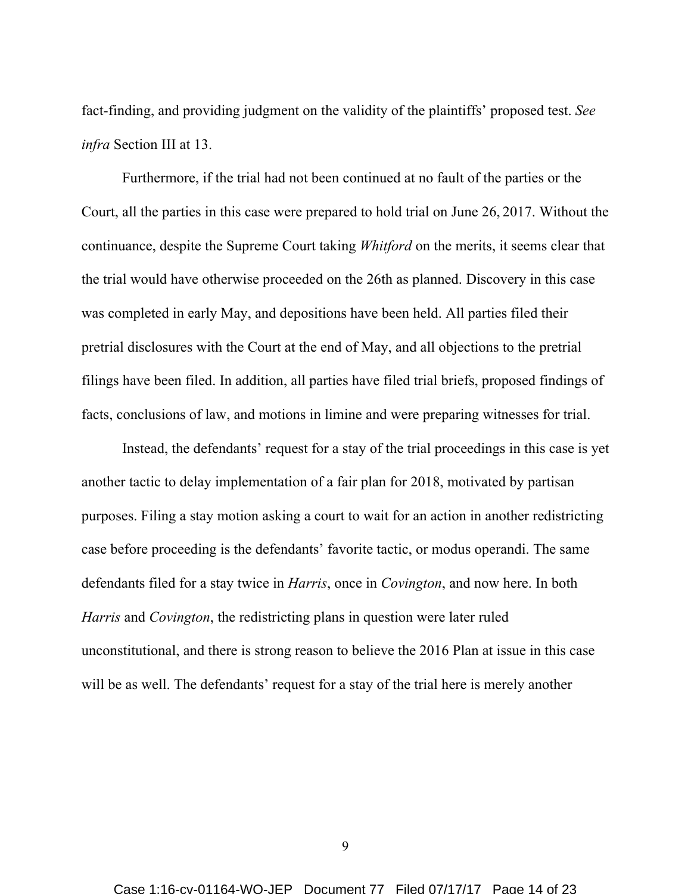fact-finding, and providing judgment on the validity of the plaintiffs' proposed test. *See infra* Section III at 13.

Furthermore, if the trial had not been continued at no fault of the parties or the Court, all the parties in this case were prepared to hold trial on June 26, 2017. Without the continuance, despite the Supreme Court taking *Whitford* on the merits, it seems clear that the trial would have otherwise proceeded on the 26th as planned. Discovery in this case was completed in early May, and depositions have been held. All parties filed their pretrial disclosures with the Court at the end of May, and all objections to the pretrial filings have been filed. In addition, all parties have filed trial briefs, proposed findings of facts, conclusions of law, and motions in limine and were preparing witnesses for trial.

Instead, the defendants' request for a stay of the trial proceedings in this case is yet another tactic to delay implementation of a fair plan for 2018, motivated by partisan purposes. Filing a stay motion asking a court to wait for an action in another redistricting case before proceeding is the defendants' favorite tactic, or modus operandi. The same defendants filed for a stay twice in *Harris*, once in *Covington*, and now here. In both *Harris* and *Covington*, the redistricting plans in question were later ruled unconstitutional, and there is strong reason to believe the 2016 Plan at issue in this case will be as well. The defendants' request for a stay of the trial here is merely another

9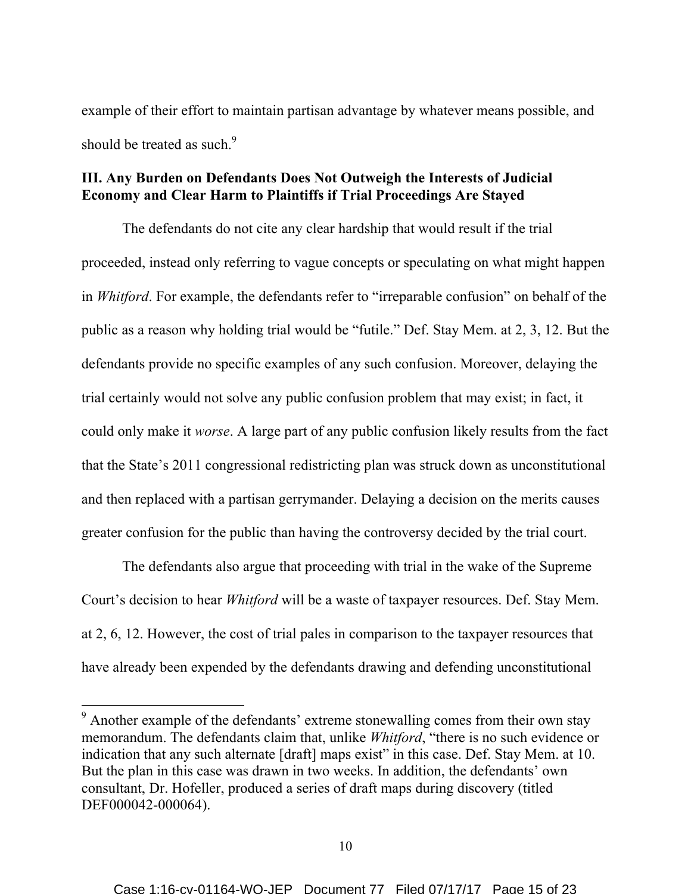example of their effort to maintain partisan advantage by whatever means possible, and should be treated as such.<sup>9</sup>

# **III. Any Burden on Defendants Does Not Outweigh the Interests of Judicial Economy and Clear Harm to Plaintiffs if Trial Proceedings Are Stayed**

The defendants do not cite any clear hardship that would result if the trial proceeded, instead only referring to vague concepts or speculating on what might happen in *Whitford*. For example, the defendants refer to "irreparable confusion" on behalf of the public as a reason why holding trial would be "futile." Def. Stay Mem. at 2, 3, 12. But the defendants provide no specific examples of any such confusion. Moreover, delaying the trial certainly would not solve any public confusion problem that may exist; in fact, it could only make it *worse*. A large part of any public confusion likely results from the fact that the State's 2011 congressional redistricting plan was struck down as unconstitutional and then replaced with a partisan gerrymander. Delaying a decision on the merits causes greater confusion for the public than having the controversy decided by the trial court.

The defendants also argue that proceeding with trial in the wake of the Supreme Court's decision to hear *Whitford* will be a waste of taxpayer resources. Def. Stay Mem. at 2, 6, 12. However, the cost of trial pales in comparison to the taxpayer resources that have already been expended by the defendants drawing and defending unconstitutional

<sup>&</sup>lt;sup>9</sup> Another example of the defendants' extreme stonewalling comes from their own stay memorandum. The defendants claim that, unlike *Whitford*, "there is no such evidence or indication that any such alternate [draft] maps exist" in this case. Def. Stay Mem. at 10. But the plan in this case was drawn in two weeks. In addition, the defendants' own consultant, Dr. Hofeller, produced a series of draft maps during discovery (titled DEF000042-000064).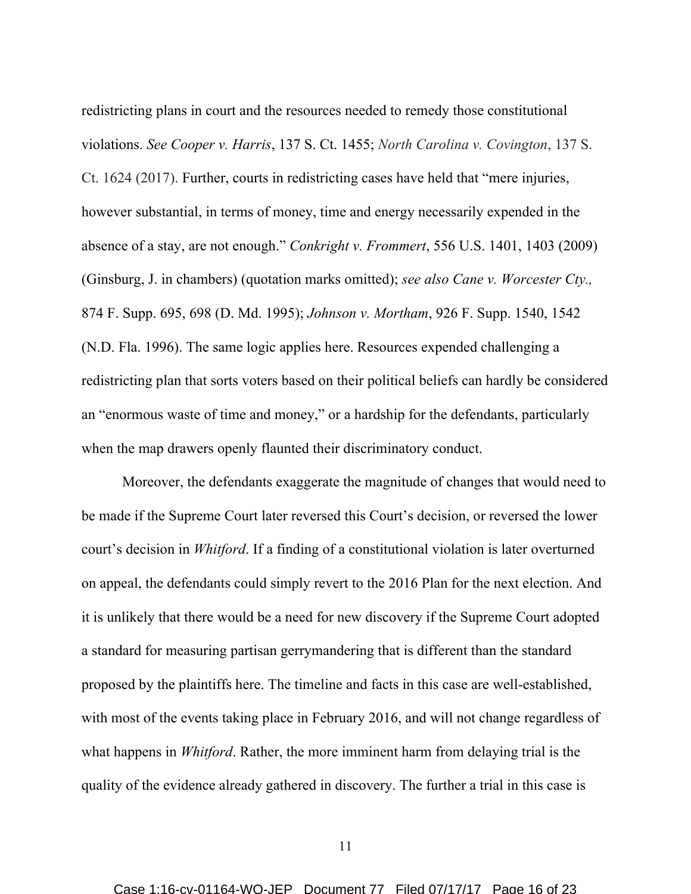redistricting plans in court and the resources needed to remedy those constitutional violations. *See Cooper v. Harris*, 137 S. Ct. 1455; *North Carolina v. Covington*, 137 S. Ct. 1624 (2017). Further, courts in redistricting cases have held that "mere injuries, however substantial, in terms of money, time and energy necessarily expended in the absence of a stay, are not enough." *Conkright v. Frommert*, 556 U.S. 1401, 1403 (2009) (Ginsburg, J. in chambers) (quotation marks omitted); *see also Cane v. Worcester Cty.,* 874 F. Supp. 695, 698 (D. Md. 1995); *Johnson v. Mortham*, 926 F. Supp. 1540, 1542 (N.D. Fla. 1996). The same logic applies here. Resources expended challenging a redistricting plan that sorts voters based on their political beliefs can hardly be considered an "enormous waste of time and money," or a hardship for the defendants, particularly when the map drawers openly flaunted their discriminatory conduct.

Moreover, the defendants exaggerate the magnitude of changes that would need to be made if the Supreme Court later reversed this Court's decision, or reversed the lower court's decision in *Whitford*. If a finding of a constitutional violation is later overturned on appeal, the defendants could simply revert to the 2016 Plan for the next election. And it is unlikely that there would be a need for new discovery if the Supreme Court adopted a standard for measuring partisan gerrymandering that is different than the standard proposed by the plaintiffs here. The timeline and facts in this case are well-established, with most of the events taking place in February 2016, and will not change regardless of what happens in *Whitford*. Rather, the more imminent harm from delaying trial is the quality of the evidence already gathered in discovery. The further a trial in this case is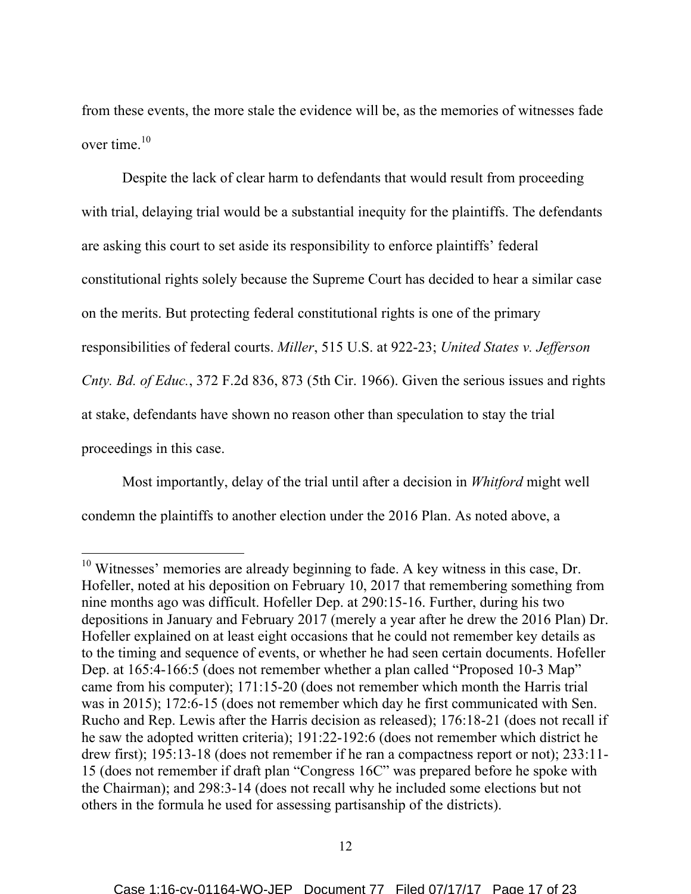from these events, the more stale the evidence will be, as the memories of witnesses fade over time. 10

Despite the lack of clear harm to defendants that would result from proceeding with trial, delaying trial would be a substantial inequity for the plaintiffs. The defendants are asking this court to set aside its responsibility to enforce plaintiffs' federal constitutional rights solely because the Supreme Court has decided to hear a similar case on the merits. But protecting federal constitutional rights is one of the primary responsibilities of federal courts. *Miller*, 515 U.S. at 922-23; *United States v. Jefferson Cnty. Bd. of Educ.*, 372 F.2d 836, 873 (5th Cir. 1966). Given the serious issues and rights at stake, defendants have shown no reason other than speculation to stay the trial proceedings in this case.

Most importantly, delay of the trial until after a decision in *Whitford* might well condemn the plaintiffs to another election under the 2016 Plan. As noted above, a

<sup>&</sup>lt;sup>10</sup> Witnesses' memories are already beginning to fade. A key witness in this case, Dr. Hofeller, noted at his deposition on February 10, 2017 that remembering something from nine months ago was difficult. Hofeller Dep. at 290:15-16. Further, during his two depositions in January and February 2017 (merely a year after he drew the 2016 Plan) Dr. Hofeller explained on at least eight occasions that he could not remember key details as to the timing and sequence of events, or whether he had seen certain documents. Hofeller Dep. at 165:4-166:5 (does not remember whether a plan called "Proposed 10-3 Map" came from his computer); 171:15-20 (does not remember which month the Harris trial was in 2015); 172:6-15 (does not remember which day he first communicated with Sen. Rucho and Rep. Lewis after the Harris decision as released); 176:18-21 (does not recall if he saw the adopted written criteria); 191:22-192:6 (does not remember which district he drew first); 195:13-18 (does not remember if he ran a compactness report or not); 233:11-15 (does not remember if draft plan "Congress 16C" was prepared before he spoke with the Chairman); and 298:3-14 (does not recall why he included some elections but not others in the formula he used for assessing partisanship of the districts).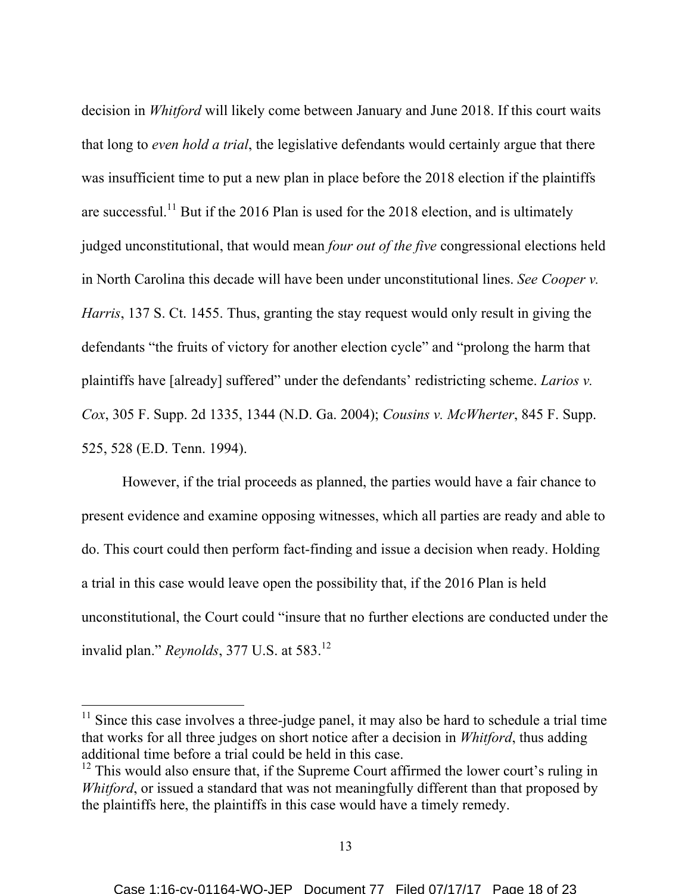decision in *Whitford* will likely come between January and June 2018. If this court waits that long to *even hold a trial*, the legislative defendants would certainly argue that there was insufficient time to put a new plan in place before the 2018 election if the plaintiffs are successful.<sup>11</sup> But if the 2016 Plan is used for the 2018 election, and is ultimately judged unconstitutional, that would mean *four out of the five* congressional elections held in North Carolina this decade will have been under unconstitutional lines. *See Cooper v. Harris*, 137 S. Ct. 1455. Thus, granting the stay request would only result in giving the defendants "the fruits of victory for another election cycle" and "prolong the harm that plaintiffs have [already] suffered" under the defendants' redistricting scheme. *Larios v. Cox*, 305 F. Supp. 2d 1335, 1344 (N.D. Ga. 2004); *Cousins v. McWherter*, 845 F. Supp. 525, 528 (E.D. Tenn. 1994).

However, if the trial proceeds as planned, the parties would have a fair chance to present evidence and examine opposing witnesses, which all parties are ready and able to do. This court could then perform fact-finding and issue a decision when ready. Holding a trial in this case would leave open the possibility that, if the 2016 Plan is held unconstitutional, the Court could "insure that no further elections are conducted under the invalid plan." *Reynolds*, 377 U.S. at 583.<sup>12</sup>

 $11$  Since this case involves a three-judge panel, it may also be hard to schedule a trial time that works for all three judges on short notice after a decision in *Whitford*, thus adding additional time before a trial could be held in this case.

 $12$  This would also ensure that, if the Supreme Court affirmed the lower court's ruling in *Whitford*, or issued a standard that was not meaningfully different than that proposed by the plaintiffs here, the plaintiffs in this case would have a timely remedy.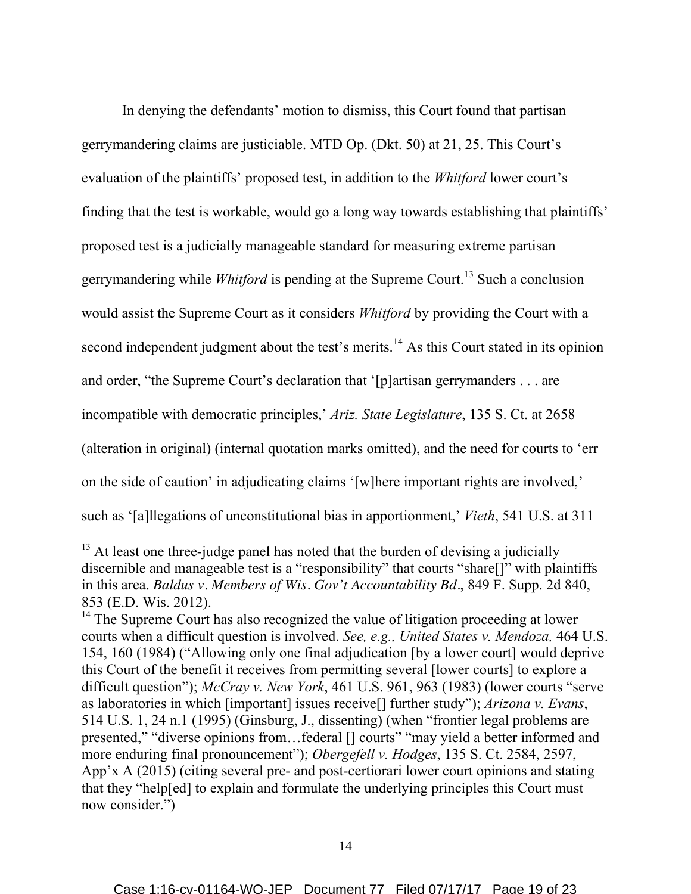In denying the defendants' motion to dismiss, this Court found that partisan gerrymandering claims are justiciable. MTD Op. (Dkt. 50) at 21, 25. This Court's evaluation of the plaintiffs' proposed test, in addition to the *Whitford* lower court's finding that the test is workable, would go a long way towards establishing that plaintiffs' proposed test is a judicially manageable standard for measuring extreme partisan gerrymandering while *Whitford* is pending at the Supreme Court. <sup>13</sup> Such a conclusion would assist the Supreme Court as it considers *Whitford* by providing the Court with a second independent judgment about the test's merits.<sup>14</sup> As this Court stated in its opinion and order, "the Supreme Court's declaration that '[p]artisan gerrymanders . . . are incompatible with democratic principles,' *Ariz. State Legislature*, 135 S. Ct. at 2658 (alteration in original) (internal quotation marks omitted), and the need for courts to 'err on the side of caution' in adjudicating claims '[w]here important rights are involved,' such as '[a]llegations of unconstitutional bias in apportionment,' *Vieth*, 541 U.S. at 311

<sup>&</sup>lt;sup>13</sup> At least one three-judge panel has noted that the burden of devising a judicially discernible and manageable test is a "responsibility" that courts "share[]" with plaintiffs in this area. *Baldus v. Members of Wis. Gov't Accountability Bd.*, 849 F. Supp. 2d 840, 853 (E.D. Wis. 2012).

<sup>&</sup>lt;sup>14</sup> The Supreme Court has also recognized the value of litigation proceeding at lower courts when a difficult question is involved. *See, e.g., United States v. Mendoza,* 464 U.S. 154, 160 (1984) ("Allowing only one final adjudication [by a lower court] would deprive this Court of the benefit it receives from permitting several [lower courts] to explore a difficult question"); *McCray v. New York*, 461 U.S. 961, 963 (1983) (lower courts "serve as laboratories in which [important] issues receive[] further study"); *Arizona v. Evans*, 514 U.S. 1, 24 n.1 (1995) (Ginsburg, J., dissenting) (when "frontier legal problems are presented," "diverse opinions from…federal [] courts" "may yield a better informed and more enduring final pronouncement"); *Obergefell v. Hodges*, 135 S. Ct. 2584, 2597, App'x A (2015) (citing several pre- and post-certiorari lower court opinions and stating that they "help[ed] to explain and formulate the underlying principles this Court must now consider.")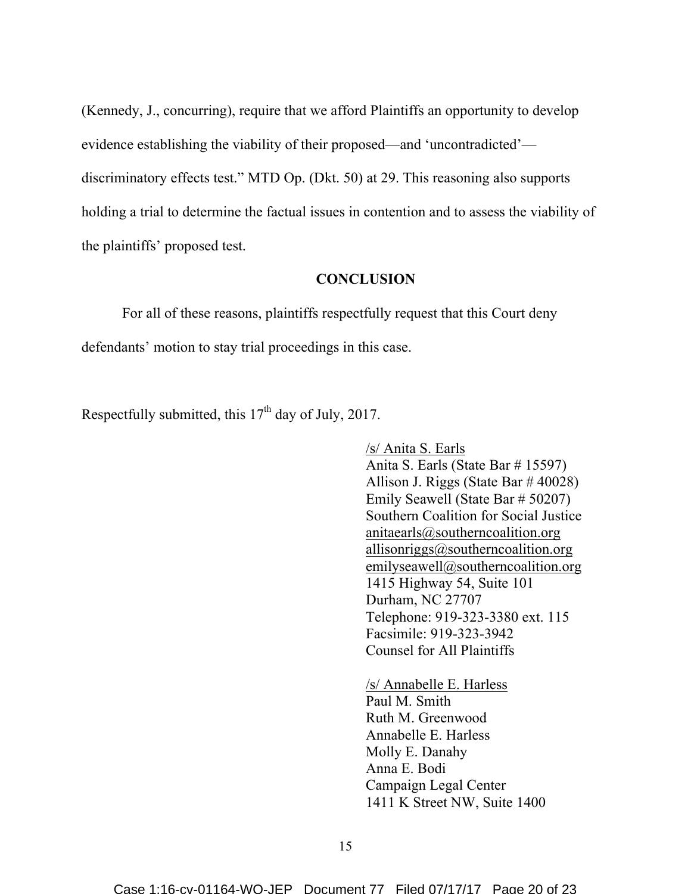(Kennedy, J., concurring), require that we afford Plaintiffs an opportunity to develop evidence establishing the viability of their proposed—and 'uncontradicted' discriminatory effects test." MTD Op. (Dkt. 50) at 29. This reasoning also supports holding a trial to determine the factual issues in contention and to assess the viability of the plaintiffs' proposed test.

### **CONCLUSION**

For all of these reasons, plaintiffs respectfully request that this Court deny defendants' motion to stay trial proceedings in this case.

Respectfully submitted, this  $17<sup>th</sup>$  day of July, 2017.

/s/ Anita S. Earls Anita S. Earls (State Bar # 15597) Allison J. Riggs (State Bar # 40028) Emily Seawell (State Bar # 50207) Southern Coalition for Social Justice anitaearls@southerncoalition.org allisonriggs@southerncoalition.org emilyseawell@southerncoalition.org 1415 Highway 54, Suite 101 Durham, NC 27707 Telephone: 919-323-3380 ext. 115 Facsimile: 919-323-3942 Counsel for All Plaintiffs

/s/ Annabelle E. Harless Paul M. Smith Ruth M. Greenwood Annabelle E. Harless Molly E. Danahy Anna E. Bodi Campaign Legal Center 1411 K Street NW, Suite 1400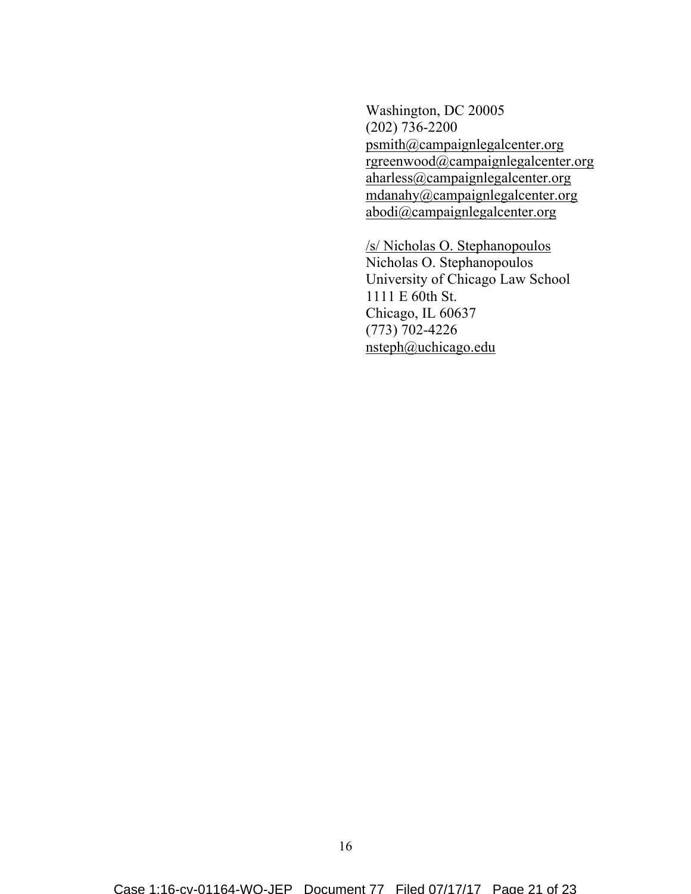Washington, DC 20005 (202) 736-2200 psmith@campaignlegalcenter.org rgreenwood@campaignlegalcenter.org aharless@campaignlegalcenter.org mdanahy@campaignlegalcenter.org abodi@campaignlegalcenter.org

/s/ Nicholas O. Stephanopoulos Nicholas O. Stephanopoulos University of Chicago Law School 1111 E 60th St. Chicago, IL 60637 (773) 702-4226 nsteph@uchicago.edu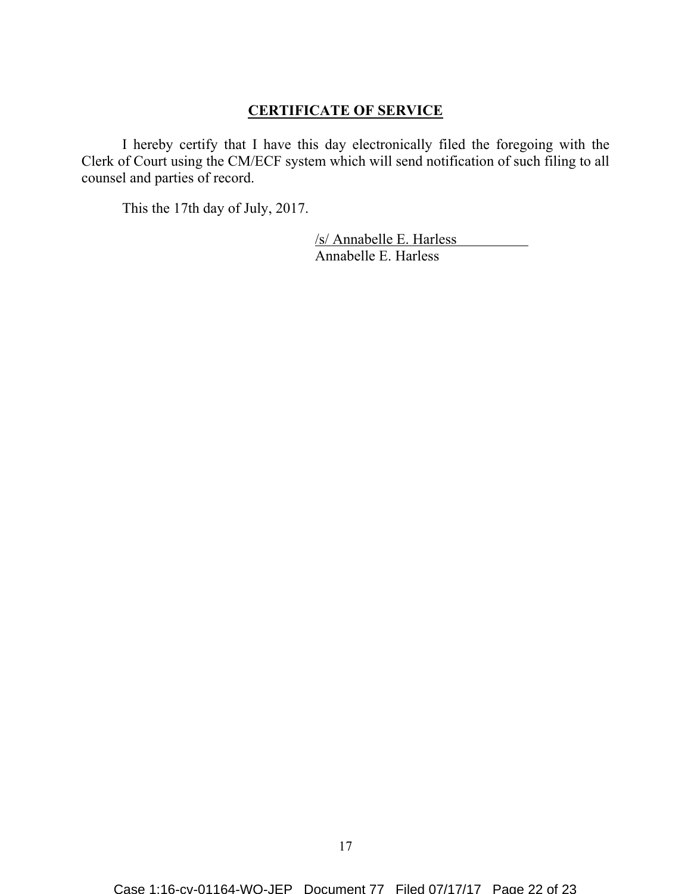## **CERTIFICATE OF SERVICE**

I hereby certify that I have this day electronically filed the foregoing with the Clerk of Court using the CM/ECF system which will send notification of such filing to all counsel and parties of record.

This the 17th day of July, 2017.

/s/ Annabelle E. Harless Annabelle E. Harless